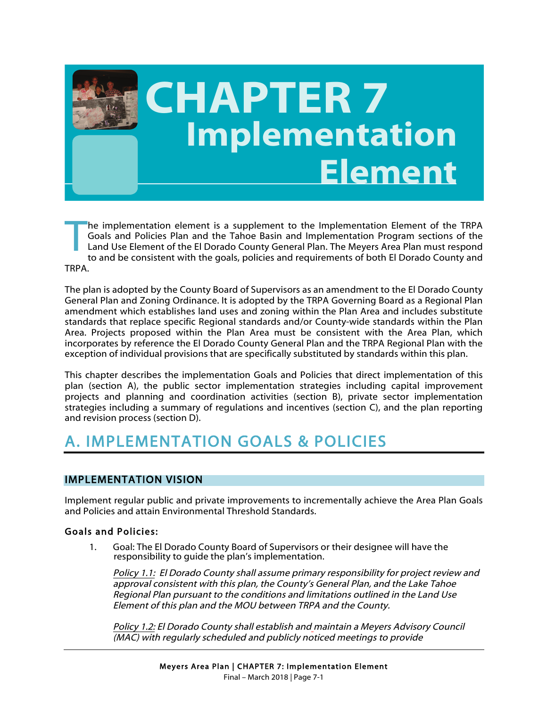

# **CHAPTER 7 Implementation Element**

he implementation element is a supplement to the Implementation Element of the TRPA Goals and Policies Plan and the Tahoe Basin and Implementation Program sections of the Land Use Element of the El Dorado County General Plan. The Meyers Area Plan must respond to and be consistent with the goals, policies and requirements of both El Dorado County and TRPA. T

The plan is adopted by the County Board of Supervisors as an amendment to the El Dorado County General Plan and Zoning Ordinance. It is adopted by the TRPA Governing Board as a Regional Plan amendment which establishes land uses and zoning within the Plan Area and includes substitute standards that replace specific Regional standards and/or County-wide standards within the Plan Area. Projects proposed within the Plan Area must be consistent with the Area Plan, which incorporates by reference the El Dorado County General Plan and the TRPA Regional Plan with the exception of individual provisions that are specifically substituted by standards within this plan.

This chapter describes the implementation Goals and Policies that direct implementation of this plan (section A), the public sector implementation strategies including capital improvement projects and planning and coordination activities (section B), private sector implementation strategies including a summary of regulations and incentives (section C), and the plan reporting and revision process (section D).

# A. IMPLEMENTATION GOALS & POLICIES

# IMPLEMENTATION VISION

Implement regular public and private improvements to incrementally achieve the Area Plan Goals and Policies and attain Environmental Threshold Standards.

### Goals and Policies:

1. Goal: The El Dorado County Board of Supervisors or their designee will have the responsibility to guide the plan's implementation.

Policy 1.1: El Dorado County shall assume primary responsibility for project review and approval consistent with this plan, the County's General Plan, and the Lake Tahoe Regional Plan pursuant to the conditions and limitations outlined in the Land Use Element of this plan and the MOU between TRPA and the County.

Policy 1.2: El Dorado County shall establish and maintain a Meyers Advisory Council (MAC) with regularly scheduled and publicly noticed meetings to provide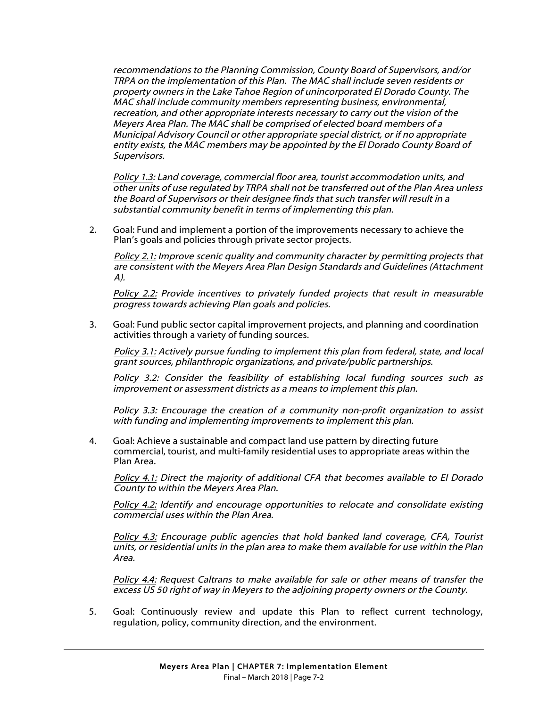recommendations to the Planning Commission, County Board of Supervisors, and/or TRPA on the implementation of this Plan. The MAC shall include seven residents or property owners in the Lake Tahoe Region of unincorporated El Dorado County. The MAC shall include community members representing business, environmental, recreation, and other appropriate interests necessary to carry out the vision of the Meyers Area Plan. The MAC shall be comprised of elected board members of a Municipal Advisory Council or other appropriate special district, or if no appropriate entity exists, the MAC members may be appointed by the El Dorado County Board of Supervisors.

Policy 1.3: Land coverage, commercial floor area, tourist accommodation units, and other units of use regulated by TRPA shall not be transferred out of the Plan Area unless the Board of Supervisors or their designee finds that such transfer will result in a substantial community benefit in terms of implementing this plan.

2. Goal: Fund and implement a portion of the improvements necessary to achieve the Plan's goals and policies through private sector projects.

Policy 2.1: Improve scenic quality and community character by permitting projects that are consistent with the Meyers Area Plan Design Standards and Guidelines (Attachment A).

Policy 2.2: Provide incentives to privately funded projects that result in measurable progress towards achieving Plan goals and policies.

3. Goal: Fund public sector capital improvement projects, and planning and coordination activities through a variety of funding sources.

Policy 3.1: Actively pursue funding to implement this plan from federal, state, and local grant sources, philanthropic organizations, and private/public partnerships.

Policy 3.2: Consider the feasibility of establishing local funding sources such as improvement or assessment districts as a means to implement this plan.

Policy 3.3: Encourage the creation of a community non-profit organization to assist with funding and implementing improvements to implement this plan.

4. Goal: Achieve a sustainable and compact land use pattern by directing future commercial, tourist, and multi-family residential uses to appropriate areas within the Plan Area.

Policy 4.1: Direct the majority of additional CFA that becomes available to El Dorado County to within the Meyers Area Plan.

Policy 4.2: Identify and encourage opportunities to relocate and consolidate existing commercial uses within the Plan Area.

Policy 4.3: Encourage public agencies that hold banked land coverage, CFA, Tourist units, or residential units in the plan area to make them available for use within the Plan Area.

Policy 4.4: Request Caltrans to make available for sale or other means of transfer the excess US 50 right of way in Meyers to the adjoining property owners or the County.

5. Goal: Continuously review and update this Plan to reflect current technology, regulation, policy, community direction, and the environment.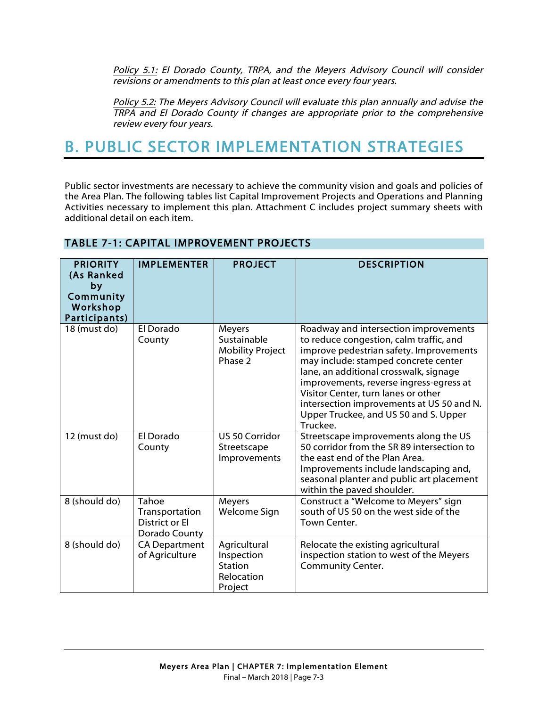Policy 5.1: El Dorado County, TRPA, and the Meyers Advisory Council will consider revisions or amendments to this plan at least once every four years.

Policy 5.2: The Meyers Advisory Council will evaluate this plan annually and advise the TRPA and El Dorado County if changes are appropriate prior to the comprehensive review every four years.

# B. PUBLIC SECTOR IMPLEMENTATION STRATEGIES

Public sector investments are necessary to achieve the community vision and goals and policies of the Area Plan. The following tables list Capital Improvement Projects and Operations and Planning Activities necessary to implement this plan. Attachment C includes project summary sheets with additional detail on each item.

| <b>PRIORITY</b><br>(As Ranked<br>by<br>Community<br>Workshop<br>Participants) | <b>IMPLEMENTER</b>                                                | <b>PROJECT</b>                                                 | <b>DESCRIPTION</b>                                                                                                                                                                                                                                                                                                                                                                                |
|-------------------------------------------------------------------------------|-------------------------------------------------------------------|----------------------------------------------------------------|---------------------------------------------------------------------------------------------------------------------------------------------------------------------------------------------------------------------------------------------------------------------------------------------------------------------------------------------------------------------------------------------------|
| 18 (must do)                                                                  | El Dorado<br>County                                               | Meyers<br>Sustainable<br><b>Mobility Project</b><br>Phase 2    | Roadway and intersection improvements<br>to reduce congestion, calm traffic, and<br>improve pedestrian safety. Improvements<br>may include: stamped concrete center<br>lane, an additional crosswalk, signage<br>improvements, reverse ingress-egress at<br>Visitor Center, turn lanes or other<br>intersection improvements at US 50 and N.<br>Upper Truckee, and US 50 and S. Upper<br>Truckee. |
| 12 (must do)                                                                  | El Dorado<br>County                                               | US 50 Corridor<br>Streetscape<br>Improvements                  | Streetscape improvements along the US<br>50 corridor from the SR 89 intersection to<br>the east end of the Plan Area.<br>Improvements include landscaping and,<br>seasonal planter and public art placement<br>within the paved shoulder.                                                                                                                                                         |
| 8 (should do)                                                                 | Tahoe<br>Transportation<br><b>District or El</b><br>Dorado County | Meyers<br>Welcome Sign                                         | Construct a "Welcome to Meyers" sign<br>south of US 50 on the west side of the<br>Town Center.                                                                                                                                                                                                                                                                                                    |
| 8 (should do)                                                                 | <b>CA Department</b><br>of Agriculture                            | Agricultural<br>Inspection<br>Station<br>Relocation<br>Project | Relocate the existing agricultural<br>inspection station to west of the Meyers<br><b>Community Center.</b>                                                                                                                                                                                                                                                                                        |

# TABLE 7-1: CAPITAL IMPROVEMENT PROJECTS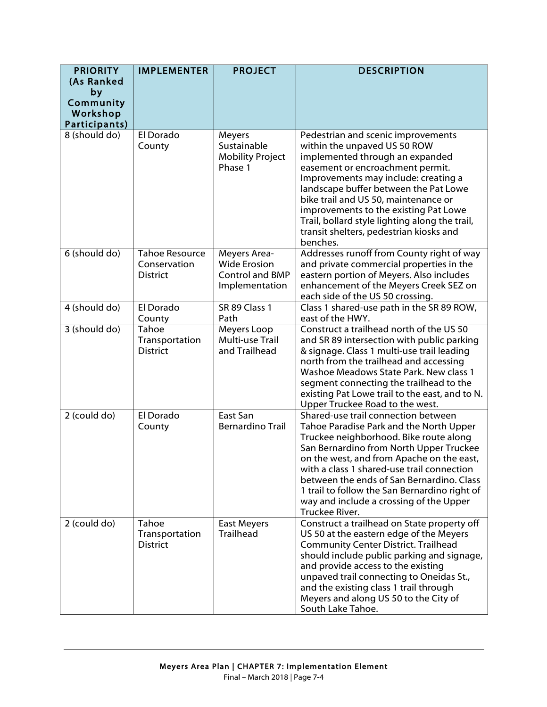| <b>PRIORITY</b><br>(As Ranked<br>by<br>Community<br>Workshop | <b>IMPLEMENTER</b>                                       | <b>PROJECT</b>                                                                  | <b>DESCRIPTION</b>                                                                                                                                                                                                                                                                                                                                                                                                        |
|--------------------------------------------------------------|----------------------------------------------------------|---------------------------------------------------------------------------------|---------------------------------------------------------------------------------------------------------------------------------------------------------------------------------------------------------------------------------------------------------------------------------------------------------------------------------------------------------------------------------------------------------------------------|
| Participants)<br>8 (should do)                               | El Dorado<br>County                                      | Meyers<br>Sustainable<br><b>Mobility Project</b><br>Phase 1                     | Pedestrian and scenic improvements<br>within the unpaved US 50 ROW<br>implemented through an expanded<br>easement or encroachment permit.<br>Improvements may include: creating a<br>landscape buffer between the Pat Lowe<br>bike trail and US 50, maintenance or<br>improvements to the existing Pat Lowe<br>Trail, bollard style lighting along the trail,<br>transit shelters, pedestrian kiosks and                  |
| 6 (should do)                                                | <b>Tahoe Resource</b><br>Conservation<br><b>District</b> | Meyers Area-<br><b>Wide Erosion</b><br><b>Control and BMP</b><br>Implementation | benches.<br>Addresses runoff from County right of way<br>and private commercial properties in the<br>eastern portion of Meyers. Also includes<br>enhancement of the Meyers Creek SEZ on<br>each side of the US 50 crossing.                                                                                                                                                                                               |
| 4 (should do)                                                | El Dorado<br>County                                      | SR 89 Class 1<br>Path                                                           | Class 1 shared-use path in the SR 89 ROW,<br>east of the HWY.                                                                                                                                                                                                                                                                                                                                                             |
| 3 (should do)                                                | Tahoe<br>Transportation<br><b>District</b>               | Meyers Loop<br>Multi-use Trail<br>and Trailhead                                 | Construct a trailhead north of the US 50<br>and SR 89 intersection with public parking<br>& signage. Class 1 multi-use trail leading<br>north from the trailhead and accessing<br>Washoe Meadows State Park. New class 1<br>segment connecting the trailhead to the<br>existing Pat Lowe trail to the east, and to N.<br>Upper Truckee Road to the west.                                                                  |
| 2 (could do)                                                 | El Dorado<br>County                                      | East San<br><b>Bernardino Trail</b>                                             | Shared-use trail connection between<br>Tahoe Paradise Park and the North Upper<br>Truckee neighborhood. Bike route along<br>San Bernardino from North Upper Truckee<br>on the west, and from Apache on the east,<br>with a class 1 shared-use trail connection<br>between the ends of San Bernardino. Class<br>1 trail to follow the San Bernardino right of<br>way and include a crossing of the Upper<br>Truckee River. |
| 2 (could do)                                                 | Tahoe<br>Transportation<br><b>District</b>               | <b>East Meyers</b><br><b>Trailhead</b>                                          | Construct a trailhead on State property off<br>US 50 at the eastern edge of the Meyers<br><b>Community Center District. Trailhead</b><br>should include public parking and signage,<br>and provide access to the existing<br>unpaved trail connecting to Oneidas St.,<br>and the existing class 1 trail through<br>Meyers and along US 50 to the City of<br>South Lake Tahoe.                                             |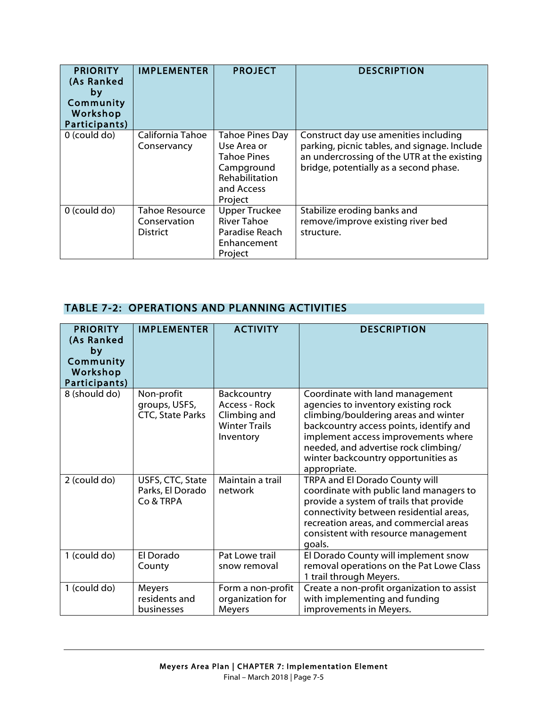| <b>PRIORITY</b><br>(As Ranked<br>by<br>Community<br>Workshop<br>Participants) | <b>IMPLEMENTER</b>                                       | <b>PROJECT</b>                                                                                                | <b>DESCRIPTION</b>                                                                                                                                                             |
|-------------------------------------------------------------------------------|----------------------------------------------------------|---------------------------------------------------------------------------------------------------------------|--------------------------------------------------------------------------------------------------------------------------------------------------------------------------------|
| 0 (could do)                                                                  | California Tahoe<br>Conservancy                          | Tahoe Pines Day<br>Use Area or<br><b>Tahoe Pines</b><br>Campground<br>Rehabilitation<br>and Access<br>Project | Construct day use amenities including<br>parking, picnic tables, and signage. Include<br>an undercrossing of the UTR at the existing<br>bridge, potentially as a second phase. |
| 0 (could do)                                                                  | <b>Tahoe Resource</b><br>Conservation<br><b>District</b> | <b>Upper Truckee</b><br><b>River Tahoe</b><br>Paradise Reach<br>Enhancement<br>Project                        | Stabilize eroding banks and<br>remove/improve existing river bed<br>structure.                                                                                                 |

# TABLE 7-2: OPERATIONS AND PLANNING ACTIVITIES

| <b>PRIORITY</b><br>(As Ranked<br>by<br>Community<br>Workshop<br>Participants) | <b>IMPLEMENTER</b>                                     | <b>ACTIVITY</b>                                                                   | <b>DESCRIPTION</b>                                                                                                                                                                                                                                                                              |
|-------------------------------------------------------------------------------|--------------------------------------------------------|-----------------------------------------------------------------------------------|-------------------------------------------------------------------------------------------------------------------------------------------------------------------------------------------------------------------------------------------------------------------------------------------------|
| 8 (should do)                                                                 | Non-profit<br>groups, USFS,<br><b>CTC, State Parks</b> | Backcountry<br>Access - Rock<br>Climbing and<br><b>Winter Trails</b><br>Inventory | Coordinate with land management<br>agencies to inventory existing rock<br>climbing/bouldering areas and winter<br>backcountry access points, identify and<br>implement access improvements where<br>needed, and advertise rock climbing/<br>winter backcountry opportunities as<br>appropriate. |
| 2 (could do)                                                                  | USFS, CTC, State<br>Parks, El Dorado<br>Co & TRPA      | Maintain a trail<br>network                                                       | TRPA and El Dorado County will<br>coordinate with public land managers to<br>provide a system of trails that provide<br>connectivity between residential areas,<br>recreation areas, and commercial areas<br>consistent with resource management<br>goals.                                      |
| 1 (could do)                                                                  | El Dorado<br>County                                    | Pat Lowe trail<br>snow removal                                                    | El Dorado County will implement snow<br>removal operations on the Pat Lowe Class<br>1 trail through Meyers.                                                                                                                                                                                     |
| 1 (could do)                                                                  | Meyers<br>residents and<br>businesses                  | Form a non-profit<br>organization for<br>Meyers                                   | Create a non-profit organization to assist<br>with implementing and funding<br>improvements in Meyers.                                                                                                                                                                                          |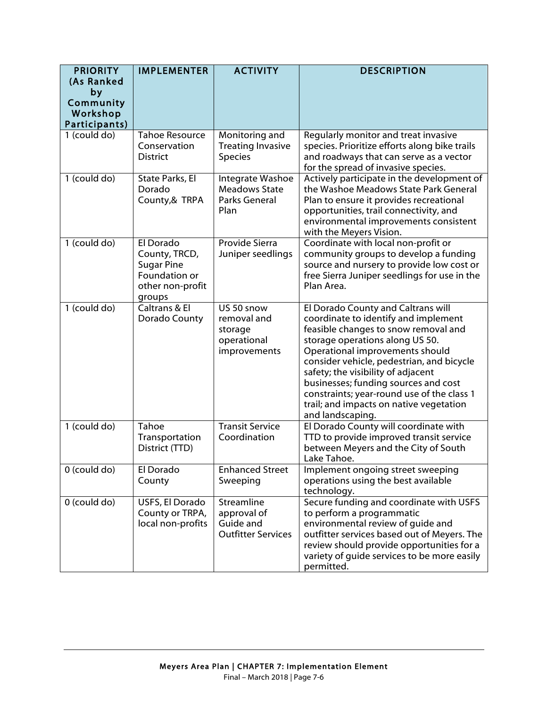| <b>PRIORITY</b>           | <b>IMPLEMENTER</b>                                                                             | <b>ACTIVITY</b>                                                     | <b>DESCRIPTION</b>                                                                                                                                                                                                                                                                                                                                                                                                               |
|---------------------------|------------------------------------------------------------------------------------------------|---------------------------------------------------------------------|----------------------------------------------------------------------------------------------------------------------------------------------------------------------------------------------------------------------------------------------------------------------------------------------------------------------------------------------------------------------------------------------------------------------------------|
| (As Ranked<br>by          |                                                                                                |                                                                     |                                                                                                                                                                                                                                                                                                                                                                                                                                  |
| Community                 |                                                                                                |                                                                     |                                                                                                                                                                                                                                                                                                                                                                                                                                  |
| Workshop<br>Participants) |                                                                                                |                                                                     |                                                                                                                                                                                                                                                                                                                                                                                                                                  |
| $1$ (could do)            | <b>Tahoe Resource</b>                                                                          | Monitoring and                                                      | Regularly monitor and treat invasive                                                                                                                                                                                                                                                                                                                                                                                             |
|                           | Conservation<br><b>District</b>                                                                | <b>Treating Invasive</b><br><b>Species</b>                          | species. Prioritize efforts along bike trails<br>and roadways that can serve as a vector<br>for the spread of invasive species.                                                                                                                                                                                                                                                                                                  |
| 1 (could do)              | State Parks, El<br>Dorado<br>County,& TRPA                                                     | Integrate Washoe<br><b>Meadows State</b><br>Parks General<br>Plan   | Actively participate in the development of<br>the Washoe Meadows State Park General<br>Plan to ensure it provides recreational<br>opportunities, trail connectivity, and<br>environmental improvements consistent<br>with the Meyers Vision.                                                                                                                                                                                     |
| 1 (could do)              | El Dorado<br>County, TRCD,<br><b>Sugar Pine</b><br>Foundation or<br>other non-profit<br>groups | Provide Sierra<br>Juniper seedlings                                 | Coordinate with local non-profit or<br>community groups to develop a funding<br>source and nursery to provide low cost or<br>free Sierra Juniper seedlings for use in the<br>Plan Area.                                                                                                                                                                                                                                          |
| 1 (could do)              | Caltrans & El<br>Dorado County                                                                 | US 50 snow<br>removal and<br>storage<br>operational<br>improvements | El Dorado County and Caltrans will<br>coordinate to identify and implement<br>feasible changes to snow removal and<br>storage operations along US 50.<br>Operational improvements should<br>consider vehicle, pedestrian, and bicycle<br>safety; the visibility of adjacent<br>businesses; funding sources and cost<br>constraints; year-round use of the class 1<br>trail; and impacts on native vegetation<br>and landscaping. |
| 1 (could do)              | Tahoe<br>Transportation<br>District (TTD)                                                      | <b>Transit Service</b><br>Coordination                              | El Dorado County will coordinate with<br>TTD to provide improved transit service<br>between Meyers and the City of South<br>Lake Tahoe.                                                                                                                                                                                                                                                                                          |
| $0$ (could do)            | El Dorado<br>County                                                                            | <b>Enhanced Street</b><br>Sweeping                                  | Implement ongoing street sweeping<br>operations using the best available<br>technology.                                                                                                                                                                                                                                                                                                                                          |
| $0$ (could do)            | USFS, El Dorado<br>County or TRPA,<br>local non-profits                                        | Streamline<br>approval of<br>Guide and<br><b>Outfitter Services</b> | Secure funding and coordinate with USFS<br>to perform a programmatic<br>environmental review of guide and<br>outfitter services based out of Meyers. The<br>review should provide opportunities for a<br>variety of guide services to be more easily<br>permitted.                                                                                                                                                               |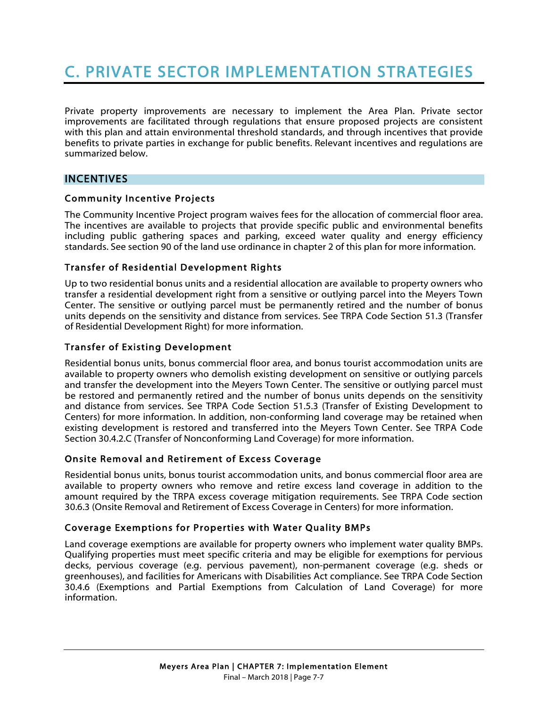# C. PRIVATE SECTOR IMPLEMENTATION STRATEGIES

Private property improvements are necessary to implement the Area Plan. Private sector improvements are facilitated through regulations that ensure proposed projects are consistent with this plan and attain environmental threshold standards, and through incentives that provide benefits to private parties in exchange for public benefits. Relevant incentives and regulations are summarized below.

#### INCENTIVES

#### Community Incentive Projects

The Community Incentive Project program waives fees for the allocation of commercial floor area. The incentives are available to projects that provide specific public and environmental benefits including public gathering spaces and parking, exceed water quality and energy efficiency standards. See section 90 of the land use ordinance in chapter 2 of this plan for more information.

#### Transfer of Residential Development Rights

Up to two residential bonus units and a residential allocation are available to property owners who transfer a residential development right from a sensitive or outlying parcel into the Meyers Town Center. The sensitive or outlying parcel must be permanently retired and the number of bonus units depends on the sensitivity and distance from services. See TRPA Code Section 51.3 (Transfer of Residential Development Right) for more information.

#### Transfer of Existing Development

Residential bonus units, bonus commercial floor area, and bonus tourist accommodation units are available to property owners who demolish existing development on sensitive or outlying parcels and transfer the development into the Meyers Town Center. The sensitive or outlying parcel must be restored and permanently retired and the number of bonus units depends on the sensitivity and distance from services. See TRPA Code Section 51.5.3 (Transfer of Existing Development to Centers) for more information. In addition, non-conforming land coverage may be retained when existing development is restored and transferred into the Meyers Town Center. See TRPA Code Section 30.4.2.C (Transfer of Nonconforming Land Coverage) for more information.

#### Onsite Removal and Retirement of Excess Coverage

Residential bonus units, bonus tourist accommodation units, and bonus commercial floor area are available to property owners who remove and retire excess land coverage in addition to the amount required by the TRPA excess coverage mitigation requirements. See TRPA Code section 30.6.3 (Onsite Removal and Retirement of Excess Coverage in Centers) for more information.

#### Coverage Exemptions for Properties with Water Quality BMPs

Land coverage exemptions are available for property owners who implement water quality BMPs. Qualifying properties must meet specific criteria and may be eligible for exemptions for pervious decks, pervious coverage (e.g. pervious pavement), non-permanent coverage (e.g. sheds or greenhouses), and facilities for Americans with Disabilities Act compliance. See TRPA Code Section 30.4.6 (Exemptions and Partial Exemptions from Calculation of Land Coverage) for more information.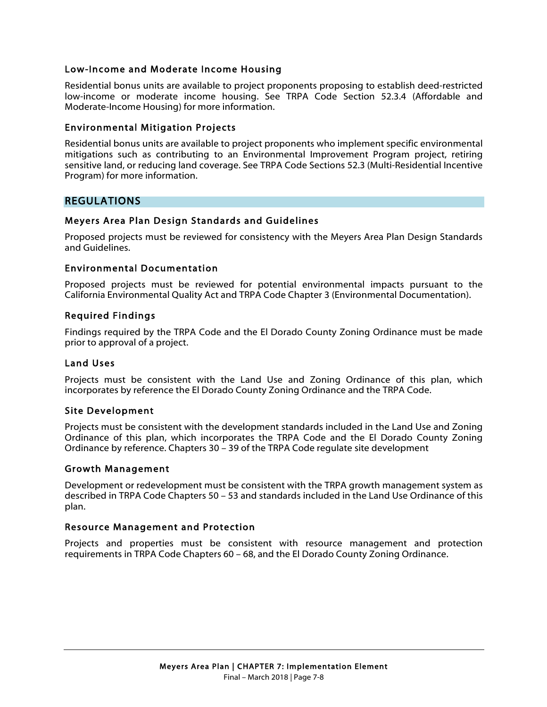#### Low-Income and Moderate Income Housing

Residential bonus units are available to project proponents proposing to establish deed-restricted low-income or moderate income housing. See TRPA Code Section 52.3.4 (Affordable and Moderate-Income Housing) for more information.

#### Environmental Mitigation Projects

Residential bonus units are available to project proponents who implement specific environmental mitigations such as contributing to an Environmental Improvement Program project, retiring sensitive land, or reducing land coverage. See TRPA Code Sections 52.3 (Multi-Residential Incentive Program) for more information.

#### REGULATIONS

#### Meyers Area Plan Design Standards and Guidelines

Proposed projects must be reviewed for consistency with the Meyers Area Plan Design Standards and Guidelines.

#### Environmental Documentation

Proposed projects must be reviewed for potential environmental impacts pursuant to the California Environmental Quality Act and TRPA Code Chapter 3 (Environmental Documentation).

#### Required Findings

Findings required by the TRPA Code and the El Dorado County Zoning Ordinance must be made prior to approval of a project.

#### Land Uses

Projects must be consistent with the Land Use and Zoning Ordinance of this plan, which incorporates by reference the El Dorado County Zoning Ordinance and the TRPA Code.

#### Site Development

Projects must be consistent with the development standards included in the Land Use and Zoning Ordinance of this plan, which incorporates the TRPA Code and the El Dorado County Zoning Ordinance by reference. Chapters 30 – 39 of the TRPA Code regulate site development

#### Growth Management

Development or redevelopment must be consistent with the TRPA growth management system as described in TRPA Code Chapters 50 – 53 and standards included in the Land Use Ordinance of this plan.

#### Resource Management and Protection

Projects and properties must be consistent with resource management and protection requirements in TRPA Code Chapters 60 – 68, and the El Dorado County Zoning Ordinance.